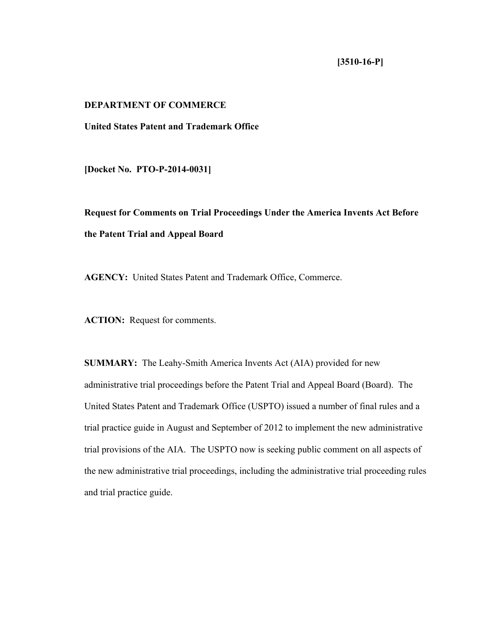# **[3510-16-P]**

# **DEPARTMENT OF COMMERCE**

## **United States Patent and Trademark Office**

**[Docket No. PTO-P-2014-0031]** 

**Request for Comments on Trial Proceedings Under the America Invents Act Before the Patent Trial and Appeal Board** 

**AGENCY:** United States Patent and Trademark Office, Commerce.

**ACTION:** Request for comments.

**SUMMARY:** The Leahy-Smith America Invents Act (AIA) provided for new administrative trial proceedings before the Patent Trial and Appeal Board (Board). The United States Patent and Trademark Office (USPTO) issued a number of final rules and a trial practice guide in August and September of 2012 to implement the new administrative trial provisions of the AIA. The USPTO now is seeking public comment on all aspects of the new administrative trial proceedings, including the administrative trial proceeding rules and trial practice guide.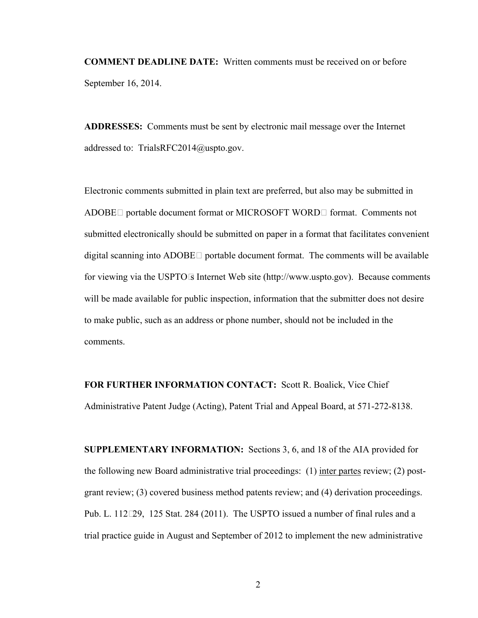**COMMENT DEADLINE DATE:** Written comments must be received on or before September 16, 2014.

**ADDRESSES:** Comments must be sent by electronic mail message over the Internet addressed to: TrialsRFC2014@uspto.gov.

Electronic comments submitted in plain text are preferred, but also may be submitted in ADOBE® portable document format or MICROSOFT WORD® format. Comments not submitted electronically should be submitted on paper in a format that facilitates convenient digital scanning into ADOBE® portable document format. The comments will be available for viewing via the USPTO's Internet Web site (http://www.uspto.gov). Because comments will be made available for public inspection, information that the submitter does not desire to make public, such as an address or phone number, should not be included in the comments.

**FOR FURTHER INFORMATION CONTACT:** Scott R. Boalick, Vice Chief Administrative Patent Judge (Acting), Patent Trial and Appeal Board, at 571-272-8138.

**SUPPLEMENTARY INFORMATION:** Sections 3, 6, and 18 of the AIA provided for the following new Board administrative trial proceedings: (1) inter partes review; (2) postgrant review; (3) covered business method patents review; and (4) derivation proceedings. Pub. L. 112–29, 125 Stat. 284 (2011). The USPTO issued a number of final rules and a trial practice guide in August and September of 2012 to implement the new administrative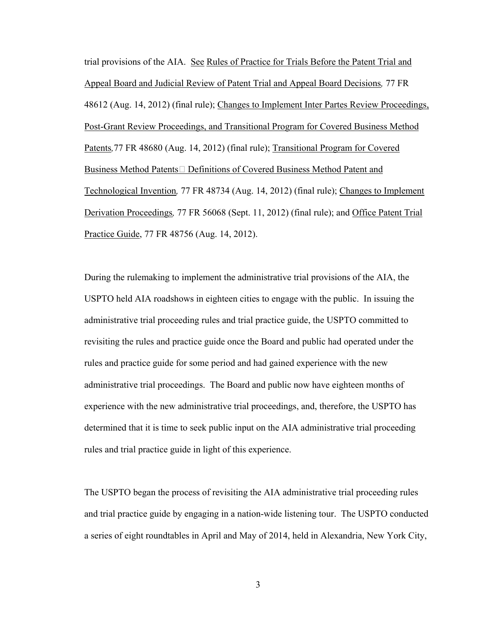trial provisions of the AIA. See Rules of Practice for Trials Before the Patent Trial and Appeal Board and Judicial Review of Patent Trial and Appeal Board Decisions*,* 77 FR 48612 (Aug. 14, 2012) (final rule); Changes to Implement Inter Partes Review Proceedings, Post-Grant Review Proceedings, and Transitional Program for Covered Business Method Patents*,*77 FR 48680 (Aug. 14, 2012) (final rule); Transitional Program for Covered Business Method Patents—Definitions of Covered Business Method Patent and Technological Invention*,* 77 FR 48734 (Aug. 14, 2012) (final rule); Changes to Implement Derivation Proceedings*,* 77 FR 56068 (Sept. 11, 2012) (final rule); and Office Patent Trial Practice Guide, 77 FR 48756 (Aug. 14, 2012).

During the rulemaking to implement the administrative trial provisions of the AIA, the USPTO held AIA roadshows in eighteen cities to engage with the public. In issuing the administrative trial proceeding rules and trial practice guide, the USPTO committed to revisiting the rules and practice guide once the Board and public had operated under the rules and practice guide for some period and had gained experience with the new administrative trial proceedings. The Board and public now have eighteen months of experience with the new administrative trial proceedings, and, therefore, the USPTO has determined that it is time to seek public input on the AIA administrative trial proceeding rules and trial practice guide in light of this experience.

The USPTO began the process of revisiting the AIA administrative trial proceeding rules and trial practice guide by engaging in a nation-wide listening tour. The USPTO conducted a series of eight roundtables in April and May of 2014, held in Alexandria, New York City,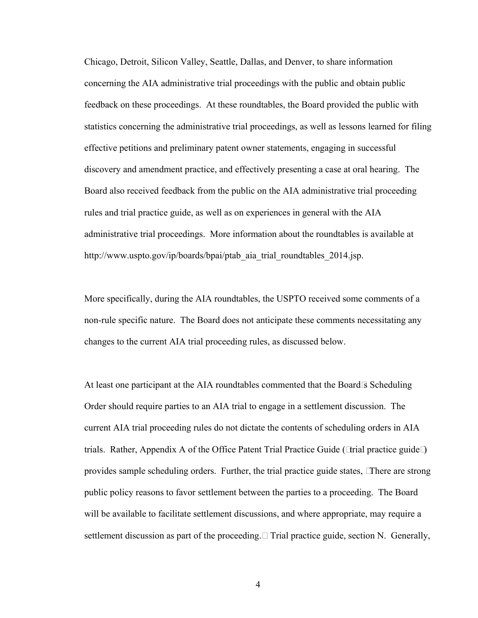Chicago, Detroit, Silicon Valley, Seattle, Dallas, and Denver, to share information concerning the AIA administrative trial proceedings with the public and obtain public feedback on these proceedings. At these roundtables, the Board provided the public with statistics concerning the administrative trial proceedings, as well as lessons learned for filing effective petitions and preliminary patent owner statements, engaging in successful discovery and amendment practice, and effectively presenting a case at oral hearing. The Board also received feedback from the public on the AIA administrative trial proceeding rules and trial practice guide, as well as on experiences in general with the AIA administrative trial proceedings. More information about the roundtables is available at http://www.uspto.gov/ip/boards/bpai/ptab\_aia\_trial\_roundtables\_2014.jsp.

More specifically, during the AIA roundtables, the USPTO received some comments of a non-rule specific nature. The Board does not anticipate these comments necessitating any changes to the current AIA trial proceeding rules, as discussed below.

At least one participant at the AIA roundtables commented that the Board's Scheduling Order should require parties to an AIA trial to engage in a settlement discussion. The current AIA trial proceeding rules do not dictate the contents of scheduling orders in AIA trials. Rather, Appendix A of the Office Patent Trial Practice Guide ("trial practice guide") provides sample scheduling orders. Further, the trial practice guide states, "There are strong public policy reasons to favor settlement between the parties to a proceeding. The Board will be available to facilitate settlement discussions, and where appropriate, may require a settlement discussion as part of the proceeding." Trial practice guide, section N. Generally,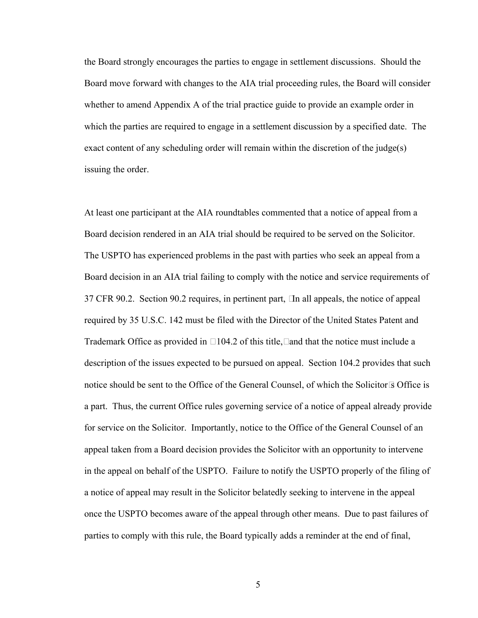the Board strongly encourages the parties to engage in settlement discussions. Should the Board move forward with changes to the AIA trial proceeding rules, the Board will consider whether to amend Appendix A of the trial practice guide to provide an example order in which the parties are required to engage in a settlement discussion by a specified date. The exact content of any scheduling order will remain within the discretion of the judge(s) issuing the order.

At least one participant at the AIA roundtables commented that a notice of appeal from a Board decision rendered in an AIA trial should be required to be served on the Solicitor. The USPTO has experienced problems in the past with parties who seek an appeal from a Board decision in an AIA trial failing to comply with the notice and service requirements of 37 CFR 90.2. Section 90.2 requires, in pertinent part, "In all appeals, the notice of appeal required by 35 U.S.C. 142 must be filed with the Director of the United States Patent and Trademark Office as provided in § 104.2 of this title," and that the notice must include a description of the issues expected to be pursued on appeal. Section 104.2 provides that such notice should be sent to the Office of the General Counsel, of which the Solicitor's Office is a part. Thus, the current Office rules governing service of a notice of appeal already provide for service on the Solicitor. Importantly, notice to the Office of the General Counsel of an appeal taken from a Board decision provides the Solicitor with an opportunity to intervene in the appeal on behalf of the USPTO. Failure to notify the USPTO properly of the filing of a notice of appeal may result in the Solicitor belatedly seeking to intervene in the appeal once the USPTO becomes aware of the appeal through other means. Due to past failures of parties to comply with this rule, the Board typically adds a reminder at the end of final,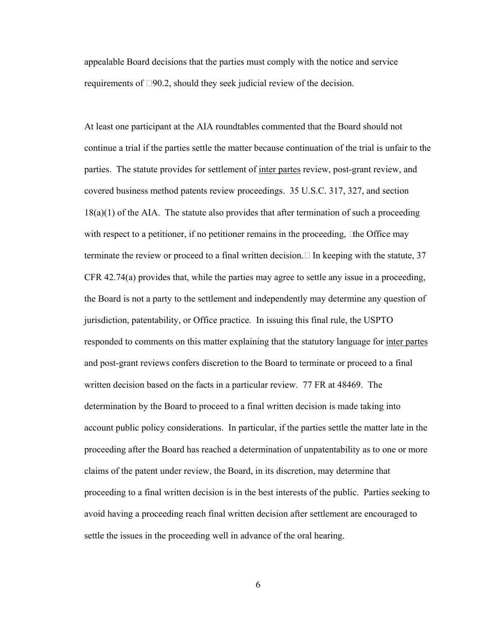appealable Board decisions that the parties must comply with the notice and service requirements of § 90.2, should they seek judicial review of the decision.

At least one participant at the AIA roundtables commented that the Board should not continue a trial if the parties settle the matter because continuation of the trial is unfair to the parties. The statute provides for settlement of inter partes review, post-grant review, and covered business method patents review proceedings. 35 U.S.C. 317, 327, and section 18(a)(1) of the AIA. The statute also provides that after termination of such a proceeding with respect to a petitioner, if no petitioner remains in the proceeding, "the Office may terminate the review or proceed to a final written decision." In keeping with the statute, 37 CFR 42.74(a) provides that, while the parties may agree to settle any issue in a proceeding, the Board is not a party to the settlement and independently may determine any question of jurisdiction, patentability, or Office practice. In issuing this final rule, the USPTO responded to comments on this matter explaining that the statutory language for <u>inter partes</u> and post-grant reviews confers discretion to the Board to terminate or proceed to a final written decision based on the facts in a particular review. 77 FR at 48469. The determination by the Board to proceed to a final written decision is made taking into account public policy considerations. In particular, if the parties settle the matter late in the proceeding after the Board has reached a determination of unpatentability as to one or more claims of the patent under review, the Board, in its discretion, may determine that proceeding to a final written decision is in the best interests of the public. Parties seeking to avoid having a proceeding reach final written decision after settlement are encouraged to settle the issues in the proceeding well in advance of the oral hearing.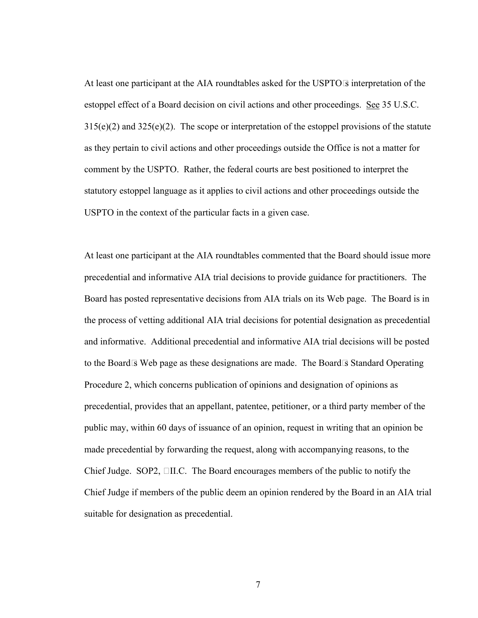At least one participant at the AIA roundtables asked for the USPTO's interpretation of the estoppel effect of a Board decision on civil actions and other proceedings. See 35 U.S.C.  $315(e)(2)$  and  $325(e)(2)$ . The scope or interpretation of the estoppel provisions of the statute as they pertain to civil actions and other proceedings outside the Office is not a matter for comment by the USPTO. Rather, the federal courts are best positioned to interpret the statutory estoppel language as it applies to civil actions and other proceedings outside the USPTO in the context of the particular facts in a given case.

At least one participant at the AIA roundtables commented that the Board should issue more precedential and informative AIA trial decisions to provide guidance for practitioners. The Board has posted representative decisions from AIA trials on its Web page. The Board is in the process of vetting additional AIA trial decisions for potential designation as precedential and informative. Additional precedential and informative AIA trial decisions will be posted to the Board's Web page as these designations are made. The Board's Standard Operating Procedure 2, which concerns publication of opinions and designation of opinions as precedential, provides that an appellant, patentee, petitioner, or a third party member of the public may, within 60 days of issuance of an opinion, request in writing that an opinion be made precedential by forwarding the request, along with accompanying reasons, to the Chief Judge. SOP2, § II.C. The Board encourages members of the public to notify the Chief Judge if members of the public deem an opinion rendered by the Board in an AIA trial suitable for designation as precedential.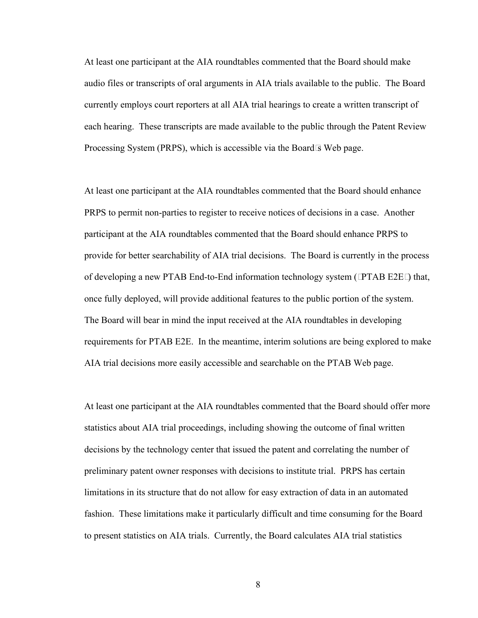At least one participant at the AIA roundtables commented that the Board should make audio files or transcripts of oral arguments in AIA trials available to the public. The Board currently employs court reporters at all AIA trial hearings to create a written transcript of each hearing. These transcripts are made available to the public through the Patent Review Processing System (PRPS), which is accessible via the Board's Web page.

At least one participant at the AIA roundtables commented that the Board should enhance PRPS to permit non-parties to register to receive notices of decisions in a case. Another participant at the AIA roundtables commented that the Board should enhance PRPS to provide for better searchability of AIA trial decisions. The Board is currently in the process of developing a new PTAB End-to-End information technology system ("PTAB E2E") that, once fully deployed, will provide additional features to the public portion of the system. The Board will bear in mind the input received at the AIA roundtables in developing requirements for PTAB E2E. In the meantime, interim solutions are being explored to make AIA trial decisions more easily accessible and searchable on the PTAB Web page.

At least one participant at the AIA roundtables commented that the Board should offer more statistics about AIA trial proceedings, including showing the outcome of final written decisions by the technology center that issued the patent and correlating the number of preliminary patent owner responses with decisions to institute trial. PRPS has certain limitations in its structure that do not allow for easy extraction of data in an automated fashion. These limitations make it particularly difficult and time consuming for the Board to present statistics on AIA trials. Currently, the Board calculates AIA trial statistics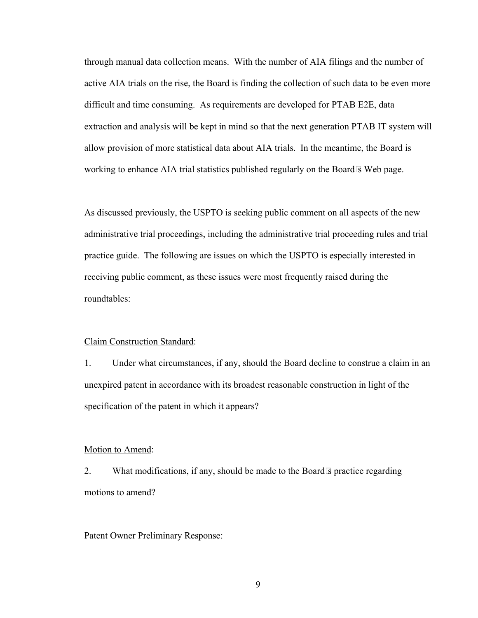through manual data collection means. With the number of AIA filings and the number of active AIA trials on the rise, the Board is finding the collection of such data to be even more difficult and time consuming. As requirements are developed for PTAB E2E, data extraction and analysis will be kept in mind so that the next generation PTAB IT system will allow provision of more statistical data about AIA trials. In the meantime, the Board is working to enhance AIA trial statistics published regularly on the Board's Web page.

As discussed previously, the USPTO is seeking public comment on all aspects of the new administrative trial proceedings, including the administrative trial proceeding rules and trial practice guide. The following are issues on which the USPTO is especially interested in receiving public comment, as these issues were most frequently raised during the roundtables:

#### Claim Construction Standard:

1. Under what circumstances, if any, should the Board decline to construe a claim in an unexpired patent in accordance with its broadest reasonable construction in light of the specification of the patent in which it appears?

#### Motion to Amend:

2. What modifications, if any, should be made to the Board's practice regarding motions to amend?

#### Patent Owner Preliminary Response: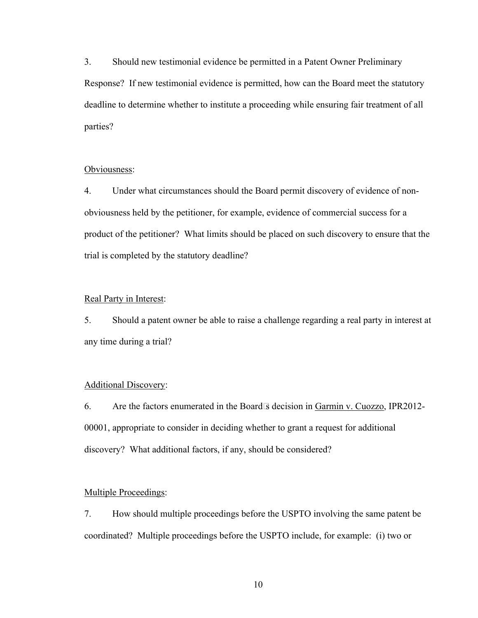3. Should new testimonial evidence be permitted in a Patent Owner Preliminary Response? If new testimonial evidence is permitted, how can the Board meet the statutory deadline to determine whether to institute a proceeding while ensuring fair treatment of all parties?

#### Obviousness:

4. Under what circumstances should the Board permit discovery of evidence of nonobviousness held by the petitioner, for example, evidence of commercial success for a product of the petitioner? What limits should be placed on such discovery to ensure that the trial is completed by the statutory deadline?

## Real Party in Interest:

5. Should a patent owner be able to raise a challenge regarding a real party in interest at any time during a trial?

# Additional Discovery:

6. Are the factors enumerated in the Board's decision in Garmin v. Cuozzo, IPR2012- 00001, appropriate to consider in deciding whether to grant a request for additional discovery? What additional factors, if any, should be considered?

## Multiple Proceedings:

7. How should multiple proceedings before the USPTO involving the same patent be coordinated? Multiple proceedings before the USPTO include, for example: (i) two or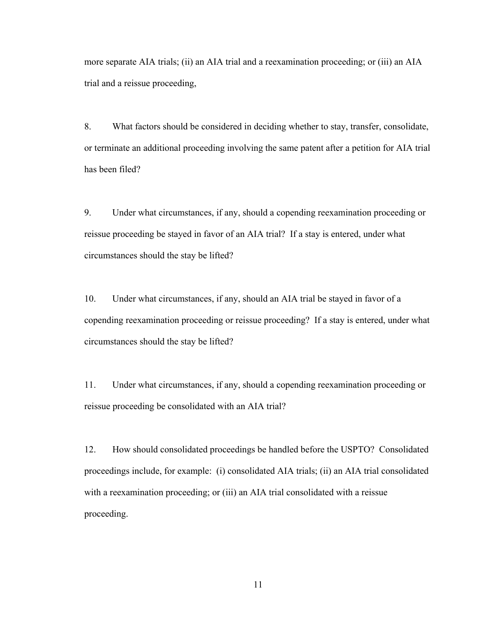more separate AIA trials; (ii) an AIA trial and a reexamination proceeding; or (iii) an AIA trial and a reissue proceeding,

8. What factors should be considered in deciding whether to stay, transfer, consolidate, or terminate an additional proceeding involving the same patent after a petition for AIA trial has been filed?

9. Under what circumstances, if any, should a copending reexamination proceeding or reissue proceeding be stayed in favor of an AIA trial? If a stay is entered, under what circumstances should the stay be lifted?

10. Under what circumstances, if any, should an AIA trial be stayed in favor of a copending reexamination proceeding or reissue proceeding? If a stay is entered, under what circumstances should the stay be lifted?

11. Under what circumstances, if any, should a copending reexamination proceeding or reissue proceeding be consolidated with an AIA trial?

12. How should consolidated proceedings be handled before the USPTO? Consolidated proceedings include, for example: (i) consolidated AIA trials; (ii) an AIA trial consolidated with a reexamination proceeding; or (iii) an AIA trial consolidated with a reissue proceeding.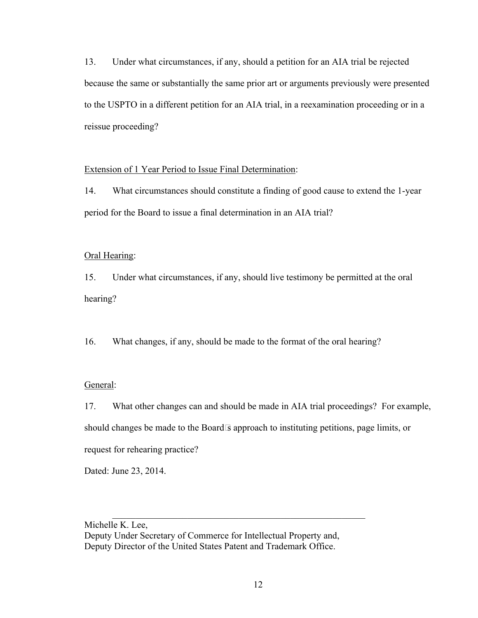13. Under what circumstances, if any, should a petition for an AIA trial be rejected because the same or substantially the same prior art or arguments previously were presented to the USPTO in a different petition for an AIA trial, in a reexamination proceeding or in a reissue proceeding?

## Extension of 1 Year Period to Issue Final Determination:

14. What circumstances should constitute a finding of good cause to extend the 1-year period for the Board to issue a final determination in an AIA trial?

# Oral Hearing:

15. Under what circumstances, if any, should live testimony be permitted at the oral hearing?

16. What changes, if any, should be made to the format of the oral hearing?

# General:

17. What other changes can and should be made in AIA trial proceedings? For example, should changes be made to the Board's approach to instituting petitions, page limits, or request for rehearing practice?

Dated: June 23, 2014.

Michelle K. Lee, Deputy Under Secretary of Commerce for Intellectual Property and, Deputy Director of the United States Patent and Trademark Office.

 $\mathcal{L}_\text{max} = \frac{1}{2} \sum_{i=1}^{n} \frac{1}{2} \sum_{i=1}^{n} \frac{1}{2} \sum_{i=1}^{n} \frac{1}{2} \sum_{i=1}^{n} \frac{1}{2} \sum_{i=1}^{n} \frac{1}{2} \sum_{i=1}^{n} \frac{1}{2} \sum_{i=1}^{n} \frac{1}{2} \sum_{i=1}^{n} \frac{1}{2} \sum_{i=1}^{n} \frac{1}{2} \sum_{i=1}^{n} \frac{1}{2} \sum_{i=1}^{n} \frac{1}{2} \sum_{i=1}^{n} \frac{1$